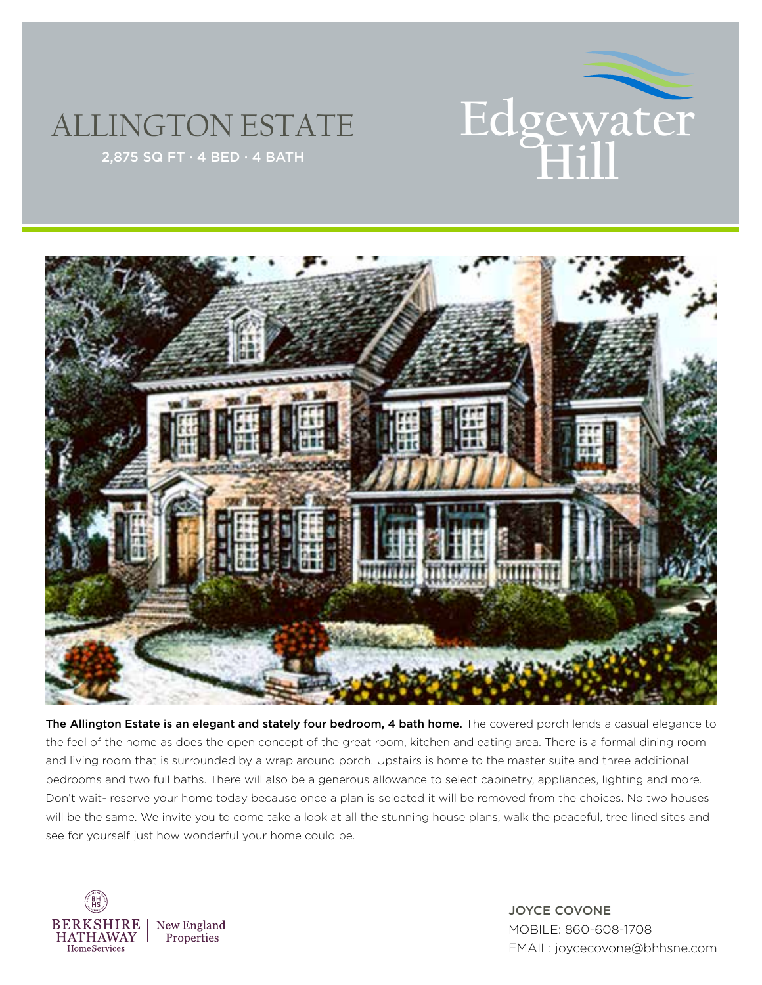

## ALLINGTON ESTATE



The Allington Estate is an elegant and stately four bedroom, 4 bath home. The covered porch lends a casual elegance to the feel of the home as does the open concept of the great room, kitchen and eating area. There is a formal dining room and living room that is surrounded by a wrap around porch. Upstairs is home to the master suite and three additional bedrooms and two full baths. There will also be a generous allowance to select cabinetry, appliances, lighting and more. Don't wait- reserve your home today because once a plan is selected it will be removed from the choices. No two houses will be the same. We invite you to come take a look at all the stunning house plans, walk the peaceful, tree lined sites and see for yourself just how wonderful your home could be.



JOYCE COVONE MOBILE: 860-608-1708 EMAIL: joycecovone@bhhsne.com